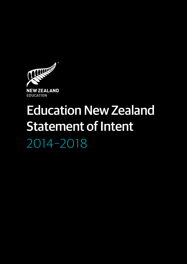

# 2014–2018 Education New Zealand Statement of Intent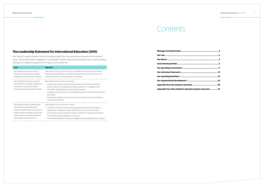# **Contents**

## **The Leadership Statement for International Education (2011)**

New Zealand's quality education services are highly sought after internationally, and expand our international social, cultural and economic engagement. Growing New Zealand's international education sector requires setting clear goals and objectives against which progress can be measured.

| <b>Goals</b>                                                                                                                                                | <b>Objectives</b>                                                                                                                                                                                                                                                                                                                                                                                                                                                                           |
|-------------------------------------------------------------------------------------------------------------------------------------------------------------|---------------------------------------------------------------------------------------------------------------------------------------------------------------------------------------------------------------------------------------------------------------------------------------------------------------------------------------------------------------------------------------------------------------------------------------------------------------------------------------------|
| New Zealand's education services                                                                                                                            | New Zealand will, over the next 15 years, double the annual economic value of                                                                                                                                                                                                                                                                                                                                                                                                               |
| delivered in New Zealand are highly                                                                                                                         | these services to \$5 billion, through increasing international enrolments in our                                                                                                                                                                                                                                                                                                                                                                                                           |
| sought after by international students.                                                                                                                     | tertiary institutions, private providers, and schools.                                                                                                                                                                                                                                                                                                                                                                                                                                      |
| New Zealand's education services in<br>other countries are highly sought after<br>by students, education providers,<br>businesses and governments overseas. | New Zealand will, over the next 15 years:<br>$\rightarrow$ Develop and sustain mutually beneficial education relationships with key<br>partner countries as a leading part of New Zealand Inc. strategies in Asia,<br>the Pacific, the Middle East, Europe and the Americas.<br>Increase annual revenues from providing education services offshore to at least<br>\$0.5 billion.<br>Increase the number of international students enrolled in providers offshore,<br>from 3,000 to 10,000. |
| New Zealand makes the best possible                                                                                                                         | New Zealand will, over the next 15 years:                                                                                                                                                                                                                                                                                                                                                                                                                                                   |
| use of its international education                                                                                                                          | Double the number of international postgraduate students (particularly in                                                                                                                                                                                                                                                                                                                                                                                                                   |
| expertise to build skills in our work force,                                                                                                                | programmes in addition to those at PhD level), from 10,000 to 20,000.                                                                                                                                                                                                                                                                                                                                                                                                                       |
| to grow research capability and to foster                                                                                                                   | Increase the transition rate from study to residence for international students                                                                                                                                                                                                                                                                                                                                                                                                             |
| wider economic connections between                                                                                                                          | with bachelors level qualifications and above.                                                                                                                                                                                                                                                                                                                                                                                                                                              |
| New Zealand and overseas firms.                                                                                                                             | Increase New Zealanders' skills and knowledge to operate effectively across cultures.                                                                                                                                                                                                                                                                                                                                                                                                       |

| Appendix Two: New Zealand's education system outcomes27 |  |
|---------------------------------------------------------|--|
|                                                         |  |

| 2  |  |
|----|--|
|    |  |
|    |  |
| 5  |  |
|    |  |
|    |  |
|    |  |
|    |  |
| 22 |  |
|    |  |
|    |  |
|    |  |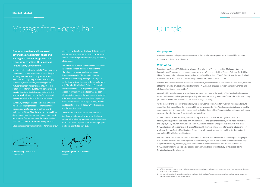# Message from Board Chair

**Education New Zealand has moved beyond the establishment phase and has begun to deliver the growth that is necessary to achieve the ambitious targets set by Government.** 

Numbers initially suffered in early 2013 but changes to immigration policy settings, new initiatives designed to strengthen industry capability, and increased promotional activity in key markets saw this largely corrected by the end of the year. Strong growth in student numbers has continued into 2014. This Statement of Intent for 2014 to 2018 demonstrates the organisation's intention to take promotional activity to a new level. It is intended it will reflect a sense of urgency on behalf of the Board and Government.

Our activity is not just focused on student attraction. We are encouraging the sector to internationalise more quickly, and to grow earnings from activity undertaken offshore. There have been some significant developments over the past year, but much more will be necessary if we are to achieve the goal of earning \$500 million a year from offshore activity by 2025.

Education diplomacy remains an important focus of our

activity and we look forward to intensifying this activity over the next four years. Initiatives such as the Prime Minister's Scholarships for Asia are helping deepen key relationships.

> We work with the diverse international education industry that encompasses seven sectors: universities, institutes of technology (ITP), private training establishments (PTE), English language providers, schools, wānanga, and offshore education service providers<sup>1</sup>.

Education New Zealand cannot deliver on Government expectations by itself. It needs to work with the education sector on one hand and also wider Government agencies. The sector is ultimately responsible for delivering on our growth targets. I am delighted by the willingness of the sector to work with Education New Zealand. Delivery of our goals is likewise dependent on an alignment of policy settings across Government. Very good progress has been achieved in this area over the past year or so and much of the growth in student numbers that is beginning to occur is the direct result of changes in policy. We will need to continue to work closely with other agencies over the next four years.

The Board and staff of Education New Zealand in New Zealand and around the world are absolutely committed to delivering on the targets that have been set. This document explains in detail how we propose to take our activity to a new level.

## **Our purpose**

Education New Zealand's purpose is to take New Zealand's education experiences to the world for enduring economic, social and cultural benefits.

## **What we do**

Education New Zealand (ENZ) is a Crown Agency. The Ministry of Education and the Ministry of Business, Innovation and Employment are our monitoring agencies. We are based in New Zealand, Belgium, Brazil, Chile, China, Germany, India, Indonesia, Japan, Malaysia, the Republic of Korea (Korea), Saudi Arabia, Taiwan, Thailand, the United States and Viet Nam. Our statutory functions are shown in Appendix One.

We work with the industry and across other governments to promote the quality of the New Zealand education system and New Zealand's expertise in providing education and training products offshore. This includes running promotional events and activities, alumni events and agent training.

As the capability and capacity of the industry varies between and within sectors, we work with the industry to strengthen their capability so they can benefit from growth opportunities. We also assist the industry to identify new opportunities for growth. Our research and market intelligence identifies potential growth opportunities and measures the effectiveness of our strategies and activities.

To promote New Zealand offshore, we work closely with other New Zealand Inc. agencies such as the Ministry of Foreign Affairs and Trade, Immigration New Zealand (part of the Ministry of Business, Innovation and Employment), Tourism New Zealand, and New Zealand Trade and Enterprise. We also work with other New Zealand education agencies such as the Ministry of Education, which leads international education policy work, and the New Zealand Qualifications Authority, which works to promote and achieve the international portability of New Zealand qualifications.

We also provide information to potential international students and their families about living and studying in New Zealand, and work with other agencies and the industry to ensure international students are adequately supported while living and studying here. International students are students who are non-residents of New Zealand who have entered New Zealand expressly with the intention to study, or have enrolled in a New Zealand provider offshore<sup>2</sup>. . **Charles Finny** | Board Chair **Philip Broughton** | Board Member



22 May 2014

22 May 2014

# Our role

1 Offshore education service providers deliver education products and services offshore, such as education publishing, education technology

2 ENZ counts international PhD students, exchange students, NZ Aid students, foreign research postgraduate students and full fee-paying

and education consultancies.

international students as international students.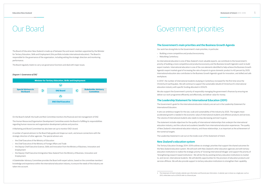The Board of Education New Zealand is made up of between five and seven members appointed by the Minister for Tertiary Education, Skills and Employment (this portfolio includes international education). The Board is responsible for the governance of the organisation, including setting the strategic direction and monitoring performance.

The Board regularly meets to carry out governance functions and deal with major issues.

### *Diagram 1: Governance of ENZ*

On the Board's behalf, the Audit and Risk Committee monitors the financial and risk management of ENZ.

The Human Resources/Organisation Development Committee assists the Board in fulfilling its responsibilities regarding human resources and organisation development policies and practice.

A Marketing and Brand Committee has also been set up to monitor ENZ's brand.

A number of special advisors to the Board help guide and shape our work, and ensure connections with the strategic direction of other agencies. The special advisors are:

- › the Chief Executive of the Ministry of Education
- › the Chief Executive of the Ministry of Foreign Affairs and Trade
- › the Deputy Chief Executive Science, Skills and Innovation from the Ministry of Business, Innovation and Employment
- › the Deputy Chief Executive Immigration New Zealand from the Ministry of Business, Innovation and Employment.

In 2013<sup>3</sup>, the number of international students studying in Canterbury increased for the first time since the Christchurch earthquakes. We will continue to support the sustainable rebuild of Christchurch's international education industry with specific funding allocated in 2014/15.

A Stakeholder Advisory Committee provides the Board with expert advice, based on the committee members' knowledge and experience within the international education industry, to ensure the needs of the industry are taken into account.

# Our Board Government priorities



## **The Government's main priorities and the Business Growth Agenda**

Our work has strong links to the Government's main priorities, in particular:

- › Building a more competitive and productive economy;
- › Rebuilding Canterbury.

As international education is one of New Zealand's most valuable exports, we contribute to the Government's priority of building a more competitive and productive economy and the Business Growth Agenda's work to build export markets. International education is one of the core elements identified to help achieve the Business Growth Agenda's export markets goal of increasing the ratio of exports to gross domestic product to 40 percent by 2025. International education also contributes to the Business Growth Agenda's goals for innovation, and skilled and safe workplaces.

We also support the Government's priority of responsibly managing the government's finances by ensuring we deliver our work programme efficiently and effectively, and deliver value for money.

## **The Leadership Statement for International Education (2011)**

The Government's goals for the international education industry are set out in the Leadership Statement for International Education.

It sets out ambitious targets for the size, scale and sustainability of the industry by 2025. The targets mean accelerated growth is needed in the economic value of international students and offshore products and services. The volume of international students also needs to stop decreasing and start to grow.

The statement includes objectives for the quality of international relationships that underpin the international education industry, and the cultural and academic benefits from international education experiences. The quality of New Zealand's international education industry, and those relationships, is as important as the achievement of the numerical targets.

The Leadership Statement is set out on the inside cover of this Statement of Intent.

## **New Zealand's education system**

The Tertiary Education Strategy 2014–2019 outlines six strategic priorities that support the shared outcomes for the New Zealand education system. We will work with New Zealand's other education agencies and with tertiary education institutions to realise the strategic priority of 'Growing international linkages' and support the priority of 'Strengthening research-based institutions'. We will do this by assisting tertiary education institutions to market to, and recruit, international students. We will identify opportunities for the provision of education products and services offshore. We will also provide support to tertiary education institutions to strengthen their capability.

3 This Statement of Intent includes calendar year information and financial year information. A calendar year is shown as a single year, such as

<sup>2013,</sup> while dates such as 2014/15 refer to a financial year.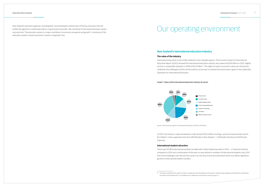New Zealand's education agencies, including ENZ, have developed a shared view of the key outcomes that will enable the agencies to collectively deliver on government priorities. We contribute to the shared education system outcome that 'The education system is a major contributor to economic prosperity and growth'. A summary of the education system's shared outcomes is shown in Appendix Two.

## **New Zealand's international education industry**

## **The value of the industry**

International education is one of New Zealand's most valuable exports. The Economic Impact of International Education Report 2012/13 showed the international education industry was valued at \$2.60 billion in 2012, slightly up from a comparable valuation in 2008 of \$2.51 billion<sup>4</sup>. This slight increase in economic value over that period underlines the challenge for ENZ and the industry as we work to achieve the Government's goals in the Leadership Statement for International Education.

## *Graph 1: Value of the international education industry by sector*

Source: The Economic Impact of International Education 2012/13, Infometrics.

In 2012, the industry's value sat between crude oil (worth \$2.2 billion) and logs, wood and wood articles (worth \$3.2 billion). It also supported more than 28,000 jobs in New Zealand — 13,600 jobs directly and 14,600 jobs indirectly.

## **International student attraction**

There were 97,283 international students enrolled with a New Zealand provider in 2013 — a 1.8 percent decline compared to 2012 and a continuation of the year-on-year decline in numbers of international students since 2011. One of the challenges over the next four years is to not only reverse this downward trend, but deliver significant growth in international student numbers.

# Our operating environment



4 Infometrics produced this report for ENZ in cooperation with the Ministry of Education, Statistics New Zealand and the Ministry of Business,

- **Primary schools** 
	- Secondary schools
- English language providers
- **Private training establishments**
- Institutes of technology
- **Universities**
- Offshore education services

Innovation and Employment. It is available on our website for the industry www.enz.govt.nz.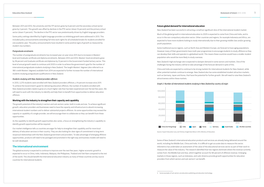Between 2011 and 2013, the university and the ITP sectors grew by 6 percent and the secondary school sector grew by 2 percent. This growth was offset by declines in the PTE sector (down 15 percent) and the primary school sector (down 11 percent). The decline in the PTE sector was predominantly driven by English language providers.

Some policy settings identified by English language providers as inhibiting growth were addressed in 2013. This included policy announcements extending full-time work rights for all scheduled breaks for students enrolled for one academic year. The policy announcements have resulted in some positive signs of growth as measured by student visa numbers.

### *Postgraduate enrolments*

The number of postgraduate enrolments has increased year-on-year since 2011 due to increases in Masters' level and Graduate certificate and diploma enrolments. Between 2012 and 2013, Masters' level enrolments grew by 18 percent and Graduate certificate and diplomas by 12 percent in the Government funded tertiary sector. This level of annual growth needs to continue until 2025 in order to achieve the government's goal for the number of international postgraduate students studying in New Zealand. The taught-Masters' degrees (also referred to as 180-credit Masters' degrees) available from 2014 are expected to further increase the number of international students studying postgraduate qualifications in New Zealand.

## *Students studying with New Zealand providers offshore*

In 2013, 3,270 students were enrolled with New Zealand providers offshore, a 14 percent increase since 2011. To achieve the Government's goals for delivering education offshore, the number of students enrolled with New Zealand providers needs to grow at a much higher rate than has been experienced over the last few years. We will need to work with the industry to identify and help them to benefit from opportunities to deliver education offshore.

## **Working with the industry to strengthen their capacity and capability**

The growth potential of the industry's sectors and sub-sectors varies, both in scale and size. To achieve significant growth, education providers and businesses need to have the capacity and infrastructure to absorb increasing international student numbers and to deliver substantial projects offshore. As some opportunities may exceed the capacity or capability of a single provider, we will encourage them to collaborate so they can benefit from these opportunities.

As the capability to identify growth opportunities also varies, a focus on strengthening the industry's capability to identify growth opportunities will be required.

> Some of New Zealand's international education products and services are already being delivered around the world, including the Middle East, China and India. It is difficult to get accurate data to measure this sector. Infometrics has undertaken an assessment of the value of the educational services sector as part of their work to measure the value of the industry. The research identified that two regions dominate where the revenue currently comes from: the Middle East and Asia, which together account for 84 percent of offshore revenue. Emerging markets in those regions, such as Indonesia, and Latin America provide growth opportunities for education providers from which sectors and sub-sectors<sup>5</sup> can benefit.

Our market intelligence tells us countries are eager for help to strengthen their capability and for more local delivery of education services in their country. They are also looking for clear signs of commitment to long-term reciprocal relationships with the New Zealand government and providers. To take advantage of emerging offshore opportunities, products will need to be packaged and promoted in the right way and business models will need to be well-developed.

## **The international environment**

The global economy is expected to continue to improve over the next few years. Higher economic growth is expected to occur in China, India, Indonesia, Malaysia, the Philippines, Thailand and Viet Nam compared to the rest of the world. This should benefit the international education industry as many of these countries are key source countries for international students.

## **Future global demand for international education**

New Zealand has been successful in attracting a small but significant slice of the international student market.

Much of the global growth in international education to 2025 is expected to come from China and India, and to occur in the non-compulsory education sector. Other countries and regions, for example Indonesia and Africa, are expected to have more students looking to study internationally due to their growing middle class and/or growing youth population.

Some traditional source regions, such as North Asia and Western Europe, are forecast to have aging populations. However many of their governments have multi-year programmes to encourage students to study offshore so they can develop their skills and operate in a globalised world. This means these countries would have a smaller student population who would be more likely to study overseas.

New Zealand's high exchange rate is expected to dampen demand in some sectors and markets. One of the challenges facing the industry will be to take advantage of the forecast demand in spite of this.

China and India are expected to continue to be strong markets for international students for New Zealand, while other potential markets continue to emerge. New Zealand also has some established student attraction markets, such as Germany, Japan and Korea, that have the potential for further growth. We will need to raise New Zealand's attractiveness within these markets.

## Graph 2: Number of international students studying in New Zealand by country of origin

Source: Export Education Levy and Tertiary Single Data Return 2013, Ministry of Education.



<sup>5</sup> Some examples of sub-sectors are education publishing and education technology.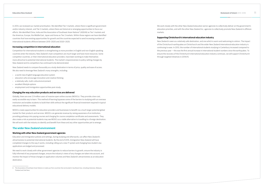In 2013, we reviewed our market prioritisation. We identified Tier 1 markets, where there is significant government and/or industry interest, and Tier 2 markets, where there are historical or emerging opportunities to focus our efforts. We identified China, India and the Association of Southeast Asian Nations<sup>6</sup> (ASEAN) as Tier 1 markets and the Americas, Europe, the Middle East, Japan and Korea as Tier 2 markets. Within those regions we have identified countries that have existing opportunities for growth and the countries expected to send increasing numbers of international students offshore between 2015–2020 and 2020–2025.

## **Increasing competition in international education**

Competition for international students is strengthening as more providers in English and non-English speaking countries enter the industry. New Zealand's main competitors are much larger and have more resources. Some competitor countries, or their international education providers, have been working to make themselves more attractive to potential international students. The market's responsiveness to policy setting changes by New Zealand and its competitors has continued to be demonstrated.

New Zealand needs to compare favourably as a study destination in terms of price, quality and ease of access. We also need to leverage New Zealand's many strengths, including:

- › a world-class English language education system
- › educators who encourage innovation and creative thinking
- › a relatively safe, multi-cultural environment
- › excellent lifestyle options
- › employment and immigration opportunities post-study.

### **Changing the way education products and services are delivered**

Globally, there are over 2.9 million users of massive open online courses (MOOCs). They provide a low-cost, easily-accessible way to learn. This method of learning bypasses some of the barriers to studying with an overseas institution and enables students to build their skills without the significant financial investment required in typical educational delivery models.

MOOCs create opportunities for education providers and businesses to benefit via a much larger potential global market for their products and services. MOOCs can generate revenue by raising awareness of an institution, providing pathways into paying courses and charging for course completion certificates and assessments. They also create a risk as potential students may see MOOCs as a viable alternative to travelling to a foreign destination. We will work with the industry to identify and benefit from these and any other opportunities yet to emerge.

## **The wider New Zealand environment**

## **Working with other New Zealand government agencies**

Education and immigration policies and settings, during studying and afterwards, can affect New Zealand's attractiveness to potential international students. By the end of 2015, Immigration New Zealand will have completed changes to the way it works, including rolling out a new IT system and changing how student visa applications are lodged and processed.

We need to work closely with other government agencies to reduce barriers to growth, ensure the industry is fully informed of any proposed changes, ensure the industry's views of any changes are taken into account, and monitor the impact of those changes on application volumes and New Zealand's attractiveness as an education destination.

We work closely with the other New Zealand education sector agencies to collectively deliver on the government's education priorities, and with the other New Zealand Inc. agencies to collectively promote New Zealand in offshore markets.

## **Supporting Christchurch's international education industry**

New Zealand is seen as a relatively safe destination, and one which is warm and welcoming to visitors. The impact of the Christchurch earthquakes on Christchurch and the wider New Zealand international education industry is continuing to ease. In 2013, the number of international students studying in Canterbury increased compared to the previous year — this was the first annual increase in international student numbers since the earthquakes. To ensure the recovery of the Christchurch international education industry continues, we will support Christchurch through targeted initiatives in 2014/15.

<sup>6</sup> The Association of Southeast Asian Nations is made up of ten countries that are located in Southeast Asia, including Indonesia, Malaysia, Thailand and Viet Nam.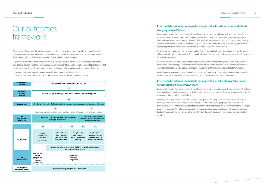# Our outcomes framework

This outcomes framework shows how our work contributes to the Government's goals for economic growth and the education system. It illustrates the link between our work (our outputs), the impact we have, and the Government's priority of building a more competitive and productive economy.

Together with the international education industry we are working to ensure the industry contributes to the New Zealand economy and the education system. We have identified two key areas (intermediate outcomes) that contribute to New Zealand having a more internationally competitive and productive economy. These are:

- › Increased economic value from international students studying in New Zealand;
- › Increased economic value of education products and services that are delivered offshore.

## **Intermediate outcome: Increased economic value from international students studying in New Zealand**

We are working with the industry to identify and benefit from new and existing growth opportunities. We plan to achieve this outcome through a mix of ongoing activities and new activities including high impact projects designed to increase international student numbers. As awareness of New Zealand as a potential study destination is low in many markets compared to our competitor countries, we need to increase awareness to increase the number of potential students who consider and then decide to study in New Zealand.

Only the Auckland region receives more international students than Canterbury. Continuing to grow the number of international students who study in Christchurch will assist the city's earthquake recovery and benefit the wider New Zealand economy.

A capable industry is able to benefit from new and existing growth opportunities, and can successfully market themselves. Strengthening the capability of the industry will help to further increase the economic value from international students in New Zealand and reverse the downward trend in international student numbers.

We will award scholarships to New Zealanders to study in offshore institutions and scholarships for international students to study in New Zealand to promote the quality of the New Zealand education system.

## **Intermediate outcome: Increased economic value of education products and services that are delivered offshore**

We are working with the industry to identify and benefit from new and existing growth opportunities. We will also use a mix of ongoing activities and new activities including high impact projects designed to increase the value of education products and services offshore.

We will work with providers to increase their profile and presence so they can enter new markets and expand existing markets for education products and services. This includes encouraging education providers and businesses to collaborate so they can benefit from opportunities that exceed the capability or capacity of a single provider or business. We will also use our relationships across other governments and with potential partners to identify opportunities for increasing the export of New Zealand's education products and services to other countries.

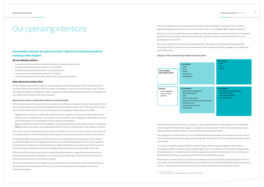# Our operating intentions

## **Intermediate outcome: Increased economic value from international students studying in New Zealand**

## **We are seeking to achieve:**

- › increased economic value from international students studying in New Zealand
- › increased international student numbers in New Zealand
- › increased awareness of New Zealand as a study destination
- › increased international students numbers in Canterbury
- › a more capable industry that is able to attract more international students.

## **What will we do to achieve this?**

We will implement high impact projects that are designed to accelerate the growth in New Zealand's economic value from international students. What the projects are designed to achieve will vary from year to year. Projects will range from projects to strengthen industry capability to projects identifying how the industry can benefit from new opportunities to attract international students.

### *Work with the industry to market New Zealand as a study destination*

We will use New Zealand's Education Story to represent the international education industry's work and the 'Think New' brand to position and promote New Zealand education in offshore markets. The 'Think New' brand is made up of three key brand attributes that we will emphasise to varying degrees depending on the market.

- › **Learn:** Students will learn in a world-class education system. Taught by professional and passionate teachers who have only one thing in mind — the students' success. Students will be challenged to think differently and to push the boundaries in an atmosphere of encouragement and excellence.
- › **Live:** New Zealand is a safe and welcoming place. A welcoming and open country where 'the new' is celebrated.
- › **Work:** Students who study in New Zealand gain skills that can lead to employment in New Zealand or offshore.

The industry will be encouraged to use New Zealand's Education Story, the 'Think New' brand and 'The Brand Lab' (a marketing toolkit) in their promotional activities targeted at attracting international students to New Zealand.

We will target digital marketing at potential students and their parents to increase awareness of New Zealand as a study destination and encourage potential students to consider studying in New Zealand. This includes the use of Facebook, media banners and advertisements. Digital marketing is the one of the most effective ways of communicating with potential students who are digital natives linked into the world through the internet.

ENZ works with New Zealand institutions to coordinate and participate in a range of promotional events and activities which promote New Zealand as a world-class education destination. These events and activities are aimed at potential students, their families and agents.

We will use our student attraction website in our promotional events and activities to attract potential students. The website also funnels enquiries and interest from potential students and their families to educational institutions and agents.

We will use targeted activities to attract potential students; often building on their governments' priorities regarding sending students offshore for a short period of study or encouraging English language proficiency.

Many of our current promotional activities are generic, rather than targeted at specific sub-sectors. As the growth potential for each sub-sector within each market varies, we will also implement new activities that focus on growing specific sub-sectors.

Our country specific communications and marketing plans will continue to be developed and implemented. The plans identify the results we want to achieve and contain a calendar of events, campaigns, and website and partnership activity.

## *Diagram 2: ENZ's prioritisation of markets and activity levels*

We will continue to work to maintain, and build on, the increased awareness of New Zealand in China following the screening of the ENZ-funded 'Dragons in a Distant Land' documentary in 2013. The documentary was about Chinese students' experiences before, during and after studying in New Zealand.

Our strategy for the Indian market is to continually build awareness leveraging India's passion for cricket. We will work with other New Zealand Inc. agencies to leverage the Cricket World Cup 2015, being hosted by New Zealand and Australia.

In a number of markets, potential students and their families often use education agents to assist them in investigating whether to study overseas. Education agents act as a key influence on the decision making process. We will strengthen our relationships with education agents to increase their preference for, and commitment to, New Zealand. We will focus on agents located in China, India and ASEAN countries.

We will invest in market research to measure the awareness and reputation of New Zealand education within our key markets, and continue to identify further opportunities for growth and improved targeting of our promotional activities. This will ensure our promotional activities increase awareness at the required rate. We will



On-going market evaluatien › Public relations

|                   | <b>Tier 1 markets:</b><br>China<br>Ÿ.<br>India<br>Ÿ<br>ASEAN <sup>7</sup><br>Ÿ |
|-------------------|--------------------------------------------------------------------------------|
|                   |                                                                                |
|                   | <b>Tier 1 activities:</b>                                                      |
| nent              | Full media mix of brand marketing<br>Ÿ.<br>and communications                  |
|                   | Search engine marketing<br>Y                                                   |
|                   | <b>Plus Tier 2 activities</b><br>Ÿ                                             |
| nd communications |                                                                                |
|                   |                                                                                |
| 'n                |                                                                                |
|                   |                                                                                |
|                   |                                                                                |
|                   |                                                                                |
|                   |                                                                                |
|                   |                                                                                |

<sup>7</sup> Our primary focus is on Indonesia, Malaysia, Thailand and Viet Nam.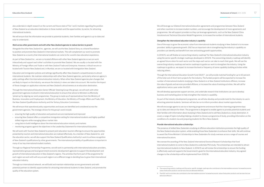also undertake in-depth research on the current and future state of Tier 1 and 2 markets regarding the position of New Zealand as an education destination in those markets and the opportunities, by sector, for attracting international students.

We will ensure that the information we provide to potential students, their families and agents is up-to-date and easy to understand.

## *Work across other governments and with other New Zealand agencies to reduce barriers to growth*

Alongside the other New Zealand Inc. agencies, we will use the New Zealand Story as a shared foundation to position and promote New Zealand in international markets. This will complement our work to promote New Zealand as a country that international students can come to for a world-class education experience.

As part of New Zealand Inc., we are co-located offshore with other New Zealand agencies so we can work interactively and support each other's activities to promote New Zealand. We are usually co-located with the Ministry of Foreign Affairs and Trade or with New Zealand Trade and Enterprise. However, in Brazil we are colocated with Tourism New Zealand and, in Mumbai, we are co-located with Immigration New Zealand.

Education and immigration policies and settings significantly affect New Zealand's competitiveness to attract international students. We maintain relationships with other New Zealand agencies, particularly where an agency's policy settings affect the international education industry. When other New Zealand agencies plan changes that are likely to impact on the industry, we ensure the industry's views are taken into account. We monitor the impact of those changes on application volumes and New Zealand's attractiveness as an education destination.

Through the International Education Senior Officials' Steering Group (the group), we will work with other government agencies involved in international education to ensure that advice to Ministers is effectively 'joined up' by aligning our work programmes. The group is made up of representatives from the Ministry of Business, Innovation and Employment, the Ministry of Education, the Ministry of Foreign Affairs and Trade, ENZ, the New Zealand Qualifications Authority and the Tertiary Education Commission.

We will ensure that operational policy opportunities and issues are identified and considered across the government agencies. The strategic drivers for the group's work include:

- › ensuring the high quality of education and pastoral care are maintained and improved
- › ensuring New Zealand offers a competitive immigration setting for international students and highly qualified skilled migrants while managing labour market risks
- › using data to build intelligence about the international education industry and markets
- › monitoring progress against the objectives in the Leadership Statement for International Education.

In 2014/15, we will finalise an overarching industry roadmap<sup>8</sup> for New Zealand's international education industry using the sector specific strategic roadmaps developed in 2013/14. The overarching industry roadmap will identify an agreed future vision for each sector and the steps each sector can take to reach their goals. We will use the overarching industry roadmap and sector roadmaps to guide our work to strengthen the industry. Using the roadmaps to guide us, we expect to increase the level or frequency of some capability building activities while reducing others.

We will work with Tourism New Zealand to present joint education-tourism offerings to ensure the opportunities presented by tourism and international education are realised effectively. As a member of New Zealand Inc. and the education sector, we will also support the New Zealand Qualifications Authority's work to achieve recognition of New Zealand's qualifications by other governments. The international portability of qualifications is important in many of our key international student markets.

Through our Regional Partnership Programme, we will work in partnership with international education providers, representative groups and local government economic development agencies to support the development and growth of international education in New Zealand's regions. The activities that form part of the programme for each region we work with will vary as each region is at a different stage in deciding how to grow their international education industry.

Through our international network, we will build and maintain relationships across governments and with potential partners to identify opportunities for attracting international students to New Zealand, and promote the quality of the education system.

We will leverage our bilateral international education agreements and programmes between New Zealand and other countries to increase student numbers, and encourage the development of more agreements and programmes. We will support providers so they can leverage agreements, such as the New Zealand-China Vocational and Technical Education Model Programme, to increase the number of international students.

## *Strengthen the international education industry's capability*

One of the ways to grow the economic value from international students studying in New Zealand is to increase providers' ability to generate growth. ENZ has an important role in strengthening the industry's capability so providers can identify and benefit from new and existing growth opportunities.

Through the International Education Growth Fund (IEGF)9 , we will provide matched funding for up to 50 percent of the total cost of short-term projects for the industry. The funded projects will be expected to increase the number of international students studying in New Zealand or at New Zealand institutions offshore, increase the value of goods and services provided offshore, or increase the value of existing activities. We will call for applications twice a year under the IEGF.

We will develop appropriate support services, and undertake research that institutions can use to develop business and marketing plans to help strengthen the industry's capability.

As part of the industry development programme, we will also develop and provide tools for the industry to use in attracting potential students. Seminars will also be run to inform providers about market opportunities.

We will encourage agents to use our e-learning programme and ensure that the e-learning programme stays up-to-date and relevant for them. The programme is designed to enable agents to provide potential students and their families with information about studying in New Zealand and to sell New Zealand as a study destination. It covers a range of topics including helping a student to choose a programme of study, providing information on the conditions of a student visa and preparing students for life in New Zealand.

### *Provide international education scholarships*

The presence of skilled New Zealanders studying at offshore education institutions promotes the high quality of the New Zealand education system, while enabling those New Zealanders to enhance their skills. We will continue to award the Prime Minister's Scholarships to New Zealanders for study overseas across a range of courses and international locations.

We oversee the awarding of the New Zealand International Doctoral Research Scholarships that fund international students to come to New Zealand to undertake PhD study. The scholarships are intended to attract top international students to New Zealand. In 2014/15 we will review the scholarships to ensure the funding is effectively used and supports the Government's goals for the international education industry. Any agreed changes to the scholarships will be implemented from 2015/16.

<sup>8</sup> The overarching industry roadmap and the sector specific strategic roadmaps also contribute to the intermediate outcome 'Increased economic value of education products and services that are delivered offshore'.

<sup>9</sup> The IEGF and its activities also contribute to the intermediate outcome 'Increased economic value of education products and services that are delivered offshore'.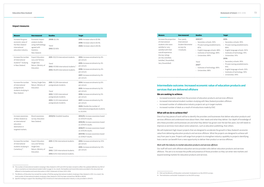## **Impact measures**

10 The number of international students studying in New Zealand in 2011 and 2012 has been revised to reflect the updated definition by ENZ of who is counted as an international student (refer to page 3). As a result, the baseline and trend information provided in this document are different to the baseline and trend information in ENZ's Statement of Intent 2013–2016.

11 The Ministry of Education has revised the number of full fee-paying international students studying in New Zealand in 2012. As a result, the total number of international students studying in New Zealand in 2012 has been revised from 98,184 to 98,161.

## **Intermediate outcome: Increased economic value of education products and services that are delivered offshore**

## **We are seeking to achieve:**

› increased economic value from the provision of education products and services offshore › increased international student numbers studying with New Zealand providers offshore

- 
- 
- › increased number of collaborative industry projects set up in target markets
- › increased number of deals as a result of introductions made by ENZ.

## **What will we do to achieve this?**

One of our key pieces of work will be to identify the providers and businesses that deliver education products and services offshore and understand more about them, their needs and what they deliver. Our depth of knowledge of who these providers and businesses are and what they deliver has grown over the last few years, but still needs to improve as we know more about some subsectors, such as education publishing, than others.

We will implement high impact projects that are designed to accelerate the growth in New Zealand's economic value from delivering education products and services offshore. What the projects are designed to achieve will vary from year to year. Projects will range from projects to strengthen industry capability to projects identifying how a sector can benefit from a new opportunity to deliver their product or service offshore.

## *Work with the industry to market education products and services offshore*

Our staff will work with offshore education service providers who deliver education products and services offshore. The aim is to increase the profile and presence of those providers so they can enter new markets and expand existing markets for education products and services.

| <b>Measure</b>                                                                                                  | <b>How measured</b>                                                                                          | <b>Baseline</b>                                                                                                                                                               | <b>Target</b>                                                                                                                                                                                                                                                                       |
|-----------------------------------------------------------------------------------------------------------------|--------------------------------------------------------------------------------------------------------------|-------------------------------------------------------------------------------------------------------------------------------------------------------------------------------|-------------------------------------------------------------------------------------------------------------------------------------------------------------------------------------------------------------------------------------------------------------------------------------|
| Increase the gross<br>economic value of<br>the New Zealand<br>international<br>education industry.              | Economic impact<br>analysis studies<br>using methodology<br>agreed with<br><b>Statistics</b><br>New Zealand. | 2008: \$2.51b<br>Trend<br>2012: \$2.60b                                                                                                                                       | 2015: Increase value to \$2.8b.<br><b>2018:</b> Increase value to \$3.4b.<br>2025: Increase value to \$5.0b.                                                                                                                                                                        |
| Increase the number<br>of international<br>students <sup>10</sup> studying<br>in New Zealand.                   | <b>Export Education</b><br>Levy and Tertiary<br>Single Data<br>Return, Ministry of<br>Education.             | 2011: 103,113 international students.<br>Trend<br>2012: 97.958 international students. <sup>11</sup><br>2013: 95.619 international students.                                  | 2014: Increase enrolments by 4%<br>per annum.<br>2015: Increase enrolments by 4%<br>per annum.<br>2016: Increase enrolments by 4%<br>per annum.<br>2017: Increase enrolments by 4%<br>per annum.                                                                                    |
| Increase the number<br>of international<br>postgraduate<br>students studying in<br>New Zealand.                 | <b>Tertiary Single Data</b><br>Return, Ministry of<br>Education.                                             | 2011: 10.228 international<br>postgraduate students.<br>Trend<br>2012: 11.030 international<br>postgraduate students.<br>2013: 12,222 international<br>postgraduate students. | 2014: Increase enrolments by 6%<br>per annum.<br>2015: Increase enrolments by 5%<br>per annum.<br>2016: Increase enrolments by 5%<br>per annum.<br>2017: Increase enrolments by 5%<br>per annum.<br>2025: Double the number of<br>international postgraduate students<br>to 20.000. |
| Increase awareness<br>of New Zealand as<br>an international<br>education<br>destination in<br>targeted markets. | <b>Brand awareness</b><br>survey, Education<br>New Zealand.                                                  | 2013/14: Establish baseline.                                                                                                                                                  | 2014/15: Increase awareness based<br>on 2013/14 results.<br>2015/16: Increase awareness based<br>on 2014/15 results.<br>2016/17: Increase awareness based<br>on 2015/16 results.<br>2017/18: Increase awareness based<br>on 2016/17 results.                                        |
| Increase the number<br>of international<br>students studying in<br>Canterbury <sup>12</sup> .                   | <b>Export Education</b><br>Levy and Tertiary<br>Single Data<br>Return, Ministry of<br>Education.             | 2011: 9.746 international students.<br>Trend<br>2012: 7.330 international students.<br>2013: 8,142 international students.                                                    | 2014: Increase enrolments by 10%<br>per annum.<br>2015: Increase enrolments by 12%<br>per annum.                                                                                                                                                                                    |

| <b>Measure</b>                                                                                                                                                                                                                    | <b>How measured</b>                                                            | <b>Baseline</b>                                                                                                                                                                                                                                              | <b>Target</b>                                                                                                                                                                                                                                                                                                                                              |
|-----------------------------------------------------------------------------------------------------------------------------------------------------------------------------------------------------------------------------------|--------------------------------------------------------------------------------|--------------------------------------------------------------------------------------------------------------------------------------------------------------------------------------------------------------------------------------------------------------|------------------------------------------------------------------------------------------------------------------------------------------------------------------------------------------------------------------------------------------------------------------------------------------------------------------------------------------------------------|
| Increase the proportion<br>of international<br>students who were<br>satisfied or very<br>satisfied with their<br>overall experience.<br>(Survey ratings)<br>are Very Satisfied,<br>Satisfied, Dissatisfied,<br>Very Dissatisfied) | Four yearly<br>International<br>Student Barometer<br>surveys by<br>i-Graduate. | $2011/12^{13}$ :<br>> Secondary schools: 94%<br>Private training establishments:<br>87%<br>English language schools: 88%<br>Institutes of technology: 89%<br>Universities: 89%<br>Trend<br>$2013^{14}$<br>Institutes of technology: 89%<br>Universities: 88% | 2015:<br>Secondary schools: 95%<br>Private training establishments:<br>$\rightarrow$<br>89%<br>English language schools: 90%<br>Institutes of technology: $91\%$<br>Universities: 91%<br>2019:<br>Secondary schools: 95%<br>Private training establishments:<br>91%<br>English language schools: 93%<br>Institutes of technology: 93%<br>Universities: 94% |

<sup>12</sup> Specific funding to support the rebuilding of the Christchurch international education industry is only provided in 2014/15.

<sup>13</sup> ENZ and the Ministry of Education contracted i-Graduate to run the 2011/12 surveys.

<sup>14</sup> The institutions contracted i-Graduate to run the 2013 surveys.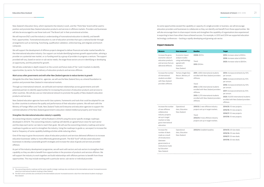New Zealand's Education Story, which represents the industry's work, and the 'Think New' brand will be used to position and promote New Zealand education products and services in offshore markets. Providers and businesses will also be encouraged to use those tools and 'The Brand Lab' in their promotional activities.

We will improve ENZ's and the industry's understanding of transnational education to identify, and benefit from, opportunities. Transnational education is a set of education activities that span a national border through arrangements such as twinning, franchising, qualification validation, online learning, joint degrees and branch campuses.

We will support the development of offshore projects designed to deliver financial and wider market benefits for the international education industry. Our support can include identifying business growth opportunities, advising a provider on a potential new market, or co-funding work by a group of providers to progress a venture. The support provided will vary, based on sector or sub-sector needs, the stage those sectors are at in identifying or developing an opportunity, and the potential for growth.

We will also undertake in-depth research on the current and future state of Tier 1 and 2 markets to identify opportunities, by sector, for the delivery of education products and services offshore.

## *Work across other governments and with other New Zealand agencies to reduce barriers to growth*

An overarching industry roadmap<sup>15</sup> will be finalised in 2014/15 using the sector specific strategic roadmaps developed in 2013/14. The overarching industry roadmap will identify an agreed future vision for each sector and the steps each sector can take to reach their goals. We will use the overarching industry roadmap and sector roadmaps to guide our work to strengthen the industry. Using the roadmaps to guide us, we expect to increase the level or frequency of some capability building activities while reducing others.

Alongside the other New Zealand Inc. agencies, we will use the New Zealand Story as a shared foundation to position and promote New Zealand in international markets.

Through our international network, we will build and maintain relationships across governments and with potential partners to identify opportunities for increasing the provision of education products and services to other countries. We will also use our international network to promote the quality of New Zealand's education products and services.

New Zealand education agencies have world-class systems, frameworks and tools that could be adapted for use by other countries to enhance the quality and performance of their education systems. We will work with the Ministry of Foreign Affairs and Trade, New Zealand Trade and Enterprise and education agencies to support the commercialisation of the New Zealand government's education-related intellectual property and 'know how'.

### *Strengthen the international education industry's capability*

One of the ways to grow the economic value of education products and services delivered offshore is to increase education businesses' ability to more effectively generate growth. The IEGF fund<sup>16</sup> will also assist education businesses to develop sustainable growth strategies and increase the value of goods and services provided offshore.

As part of the industry development programme, we will work with sectors and sub-sectors to strengthen their capability so they are able to benefit from opportunities in the provision of products and services offshore. We will support the industry to work together and build relationships with offshore partners to benefit from those opportunities. This may include working with a particular sector, sub-sector or individual provider.

As some opportunities exceed the capability or capacity of a single provider or business, we will encourage education providers and businesses to collaborate so they can identify and benefit from those opportunities. We will also encourage them to share export stories and strengthen the capability of organisations less experienced in exporting to learn how others have achieved success. For example, in 2013 and 2014 we supported education technology conferences — backing a rapidly developing and growing sub-sector.

| <b>Measure</b>                                                                                                                                               | <b>How measured</b>                                                                                          | <b>Baseline</b>                                                                                                                                                                                                                                                                      | <b>Target</b>                                                                                                                                                                                                                                                                                   |
|--------------------------------------------------------------------------------------------------------------------------------------------------------------|--------------------------------------------------------------------------------------------------------------|--------------------------------------------------------------------------------------------------------------------------------------------------------------------------------------------------------------------------------------------------------------------------------------|-------------------------------------------------------------------------------------------------------------------------------------------------------------------------------------------------------------------------------------------------------------------------------------------------|
| Increase the gross<br>economic value of<br>education products<br>and services that are<br>delivered offshore.                                                | Economic impact<br>analysis studies<br>using methodology<br>agreed with<br><b>Statistics</b><br>New Zealand. | 2008: \$107m<br>Trend:<br>2012: \$104m                                                                                                                                                                                                                                               | 2015: Increase value to \$150m.<br>2018: Increase value to \$240m.<br>2025: Increase value to \$500m.                                                                                                                                                                                           |
| Increase the number<br>of international<br>students enrolled<br>with New Zealand<br>providers offshore.                                                      | <b>Tertiary Single Data</b><br>Return, Ministry of<br>Education.                                             | 2011: 2.850 international students<br>enrolled with New Zealand providers<br>offshore.<br>Trend:<br>2012: 3.056 international students<br>enrolled with New Zealand providers<br>offshore.<br>2013: 3,270 international students<br>enrolled with New Zealand providers<br>offshore. | 2014: Increase enrolments by 10%<br>per annum.<br>2015: Increase enrolments by 10%<br>per annum.<br>2016: Increase enrolments by 10%<br>per annum.<br>2017: Increase enrolments by 10%<br>per annum.<br>2025: 10.000 international students<br>enrolled with New Zealand providers<br>offshore. |
| Increase the number<br>of new offshore<br>collaborative<br>industry projects<br>set up in target<br>markets to help<br>grow international<br>education.      | Operational<br>data. Education<br>New Zealand.                                                               | 2011/12: 3 new offshore industry<br>projects set up in target markets.<br>Trend:<br>2012/13: 9 new offshore industry<br>projects set up in target markets.                                                                                                                           | <b>2014/15:</b> 10 new projects.<br><b>2015/16:</b> 10 new projects.<br>2016/17: 10 new projects.<br>2017/18:10 new projects.                                                                                                                                                                   |
| Increase the<br>number of deals<br>made as a result<br>of introductions<br>(between)<br>governments or<br>institutions) made<br>by Education<br>New Zealand. | Operational<br>data. Education<br>New Zealand.                                                               | 2013/14: Establish baseline.                                                                                                                                                                                                                                                         | 2014/15: 20 new deals.<br>2015/16: 25 new deals.<br>2016/17: 25 new deals.<br>2017/18: 25 new deals.                                                                                                                                                                                            |

## **Impact measures**

<sup>15</sup> The overarching industry roadmap and the sector specific strategic roadmaps also contribute to the intermediate outcome 'Increased economic value from international students studying in New Zealand'.

<sup>16</sup> The IEGF and its activities also contribute to the intermediate outcome 'Increased economic value from international students studying in New Zealand'.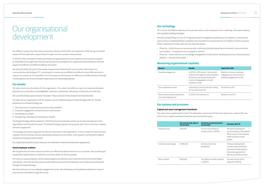# Our organisational development

Our ability to support the international education industry and be their voice depends on ENZ having committed people with the right skills, supported by the right structure, systems and processes.

In 2013/14, ENZ continued to evolve and finalise its organisational structure, policies and processes to support an expanded work programme. We are now focused on ensuring that our organisational development activities support the efficient and effective delivery of outputs.

We will work within the spirit of the whole-of-government directions for procurement, information and communications technology (ICT), and property to ensure we use efficient and effective back office services to support our outputs as far as possible. One of the ways we will measure our efficiency and effectiveness is through monitoring the ratio of administration expenses to core operating expenses.

## **Our people**

Our spirit values are a foundation for the organisation. The values that reflect our spirit are inspirational leaders, business savvy, innovative, knowledgeable, connectors, passionate, welcoming, trustworthy, and one team.

We currently employ approximately 70 people. They are based in New Zealand and internationally.

To make sure our organisation is fit-for-purpose, we are implementing our People Strategy 2012–15. The key elements of our People Strategy are:

- 1. Planning resource requirements and attracting capability
- 2. Employee engagement and performance improvement
- 3. Developing our people
- 4. Recognising, retaining and rewarding our people.

The People Strategy will be reviewed in 2014/15 to ensure its elements remain up-to-date and relevant to the organisation over the next four years. The People Strategy supports our purpose, spirit, focus, outcomes, outputs and work programme.

The Strategy will evolve along with the direction and needs of the organisation. It forms a basis for future decisionmaking in terms of human resource operating procedures and processes, and is a guide to achieving the highest standards of employee performance.

Our organisational performance measures are reflected in individual performance agreements.

## **Good employer matters**

We recognise that we need a diverse workforce to effectively deliver services to our customers. We provide equal employment opportunities to make the most of the talents of all of our people.

Our status as a good employer will be assessed against the elements and criteria set out by the Human Rights Commission. Over the next four years we will continue to ensure that all elements are in place and working well through our People Strategy.

We will continue to run an employee engagement survey. We will develop and implement solutions for areas of improvement identified through the survey.

## **Our technology**

ICT is vital to the effective delivery of our services and is a vital component of our marketing, information delivery and capability building strategies.

We will complete Phase 3 of our ICT Programme which is designed to optimise our ICT platform. In the last two years we have completed Phases 1 (stabilise) and 2 (transform) to ensure that our ICT platform is fit-for-purpose.

Phase 3 (optimise) has been split into two separate phases:

- › Phase 3a which focuses on access security, a refreshed standard operating environment, communications and mobility — is expected to be completed in 2014/15
- › Phase 3b which will focus on knowledge management and the further development of our communications platform — has yet to be scoped.

## **Monitoring organisational capability**

## **Our systems and processes**

## **Capital and asset management intentions**

The value of our capital assets is small. The table below summarises the forecast value of our assets at 30 June 2014 and our capital investment intentions over the next four years.

| <b>Measure</b>                                                  | <b>Baseline</b>                                                                                                                                                                    | <b>Target 2014-2018</b>                                 |
|-----------------------------------------------------------------|------------------------------------------------------------------------------------------------------------------------------------------------------------------------------------|---------------------------------------------------------|
| Employee engagement.                                            | In 2013/14, ENZ ranked in the top third<br>of government agencies which complete<br>the same survey (approximately 30)<br>in terms of engagement and staff<br>satisfaction levels. | Maintain or impro<br>engagement as n<br>employee engage |
| Core unplanned turnover.                                        | Unplanned turnover for the year ending<br>30 June 2013 was 5.7%.                                                                                                                   | No more than 129                                        |
| Ratio of administration expenses to<br>core operating expenses. | In 2012/13, the ratio was 1:5.                                                                                                                                                     | Between 1:5 and                                         |

| <b>Baseline</b>                                                                                                                                                                    | <b>Target 2014-2018</b>                                                                     |
|------------------------------------------------------------------------------------------------------------------------------------------------------------------------------------|---------------------------------------------------------------------------------------------|
| In 2013/14, ENZ ranked in the top third<br>of government agencies which complete<br>the same survey (approximately 30)<br>in terms of engagement and staff<br>satisfaction levels. | Maintain or improve employee<br>engagement as measured by an<br>employee engagement survey. |
| Unplanned turnover for the year ending<br>30 June 2013 was 5.7%.                                                                                                                   | No more than 12%.                                                                           |
| In 2012/13, the ratio was 1:5.                                                                                                                                                     | Between $1:5$ and $1:4$ .                                                                   |

|                        | <b>Forecast net book value at</b><br>30 June 2014 | <b>Comment on assets forecast at</b><br><b>30 June 2014</b> | Purchases 2014-18                                                                                                                                    |
|------------------------|---------------------------------------------------|-------------------------------------------------------------|------------------------------------------------------------------------------------------------------------------------------------------------------|
| Property fit out       | \$119,000                                         | Fit out of new offices on<br>Lambton Quay in 2013/14.       | We will be reviewing the<br>accommodation of the offshore<br>offices as part of the changing<br>needs to achieve market<br>growth.                   |
| Information technology | \$1,186,000                                       | Infrastructure firmly<br>established.                       | The basic building blocks<br>are now in place and future<br>investment will be based on<br>improving organisational<br>efficiency and effectiveness. |
| Motor vehicles         | \$130,000                                         | Two offshore vehicles replaced<br>in 2013/14.               | A further vehicle will be<br>replaced in 2014/15.                                                                                                    |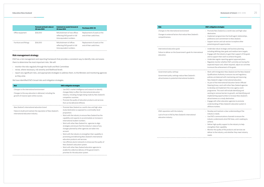## **Risk management strategy**

ENZ has a risk management and reporting framework that provides a consistent way to identify risks and assess them to determine the most important risks. We will:

- › monitor the risks regularly through the Audit and Risk Committee
- › revise, where necessary, risk severity and likelihood levels
- › report any significant risks, and appropriate strategies to address them, to the Minister and monitoring agencies as they arise.

We have identified ENZ's broad risks and mitigation strategies.

|                        | <b>Forecast net book value at</b><br>30 June 2014 | <b>Comment on assets forecast at</b><br>30 June 2014                                      | Purchases 2014-18                                          |
|------------------------|---------------------------------------------------|-------------------------------------------------------------------------------------------|------------------------------------------------------------|
| Office equipment       | \$36,000                                          | Refurbishment of new offices<br>reflecting ENZ growth in full<br>time equivalent numbers. | Replacement of assets at the<br>end of their useful lives. |
| Furniture and fittings | \$36,000                                          | Refurbishment of offices<br>reflecting ENZ growth in full<br>time equivalent numbers.     | Replacement of assets at the<br>end of their useful lives. |

| <b>Risk</b>                                                                                                                                       | <b>ENZ's mitigation strategies</b>                                                                                                                                                                                                                                                                                                                                                                                                                                                                                                                                                                                                                                                                                                                                                                                                                                               |
|---------------------------------------------------------------------------------------------------------------------------------------------------|----------------------------------------------------------------------------------------------------------------------------------------------------------------------------------------------------------------------------------------------------------------------------------------------------------------------------------------------------------------------------------------------------------------------------------------------------------------------------------------------------------------------------------------------------------------------------------------------------------------------------------------------------------------------------------------------------------------------------------------------------------------------------------------------------------------------------------------------------------------------------------|
| Changes to the international environment<br>Changes to the way education is delivered, including the<br>growth of massive open online courses.    | > Use ENZ's market intelligence and research to identify<br>changes likely to affect the international education<br>industry, including changes being made by New Zealand's<br>competitor countries.<br>> Promote the quality of education products and services<br>that can be delivered offshore.                                                                                                                                                                                                                                                                                                                                                                                                                                                                                                                                                                              |
| New Zealand's international education brand<br>Failure to build and maintain the reputation of New Zealand's<br>international education industry. | > Promote New Zealand as a world-class and high value<br>study destination as opposed to a commodity-level<br>proposition.<br>> Work with the industry to ensure New Zealand has the<br>capability and capacity to accommodate an increase in<br>international student numbers.<br>> Work with other New Zealand Inc. agencies to align<br>strategies and ensure that the industry's views of any<br>changes planned by other agencies are taken into<br>account.<br>> Work with the industry to strengthen their capability in<br>promoting and delivering New Zealand's international<br>education products and services.<br>> Use offshore alumni networks to showcase the quality of<br>New Zealand's education system.<br>> Work with other New Zealand education agencies to<br>enable the collective delivery of the government's<br>priorities for the education system. |

### *International education goals*

| <b>Risk</b>                                                                                                                          | <b>ENZ's mitigation strategies</b>                                                                                                                                                                                                                                                                                                                                                                                                                                                                                                                                                                                                                                                                                                                                 |
|--------------------------------------------------------------------------------------------------------------------------------------|--------------------------------------------------------------------------------------------------------------------------------------------------------------------------------------------------------------------------------------------------------------------------------------------------------------------------------------------------------------------------------------------------------------------------------------------------------------------------------------------------------------------------------------------------------------------------------------------------------------------------------------------------------------------------------------------------------------------------------------------------------------------|
| Changes to the international environment<br>Changes to external factors that reduce New Zealand's<br>competitiveness.                | > Promote New Zealand as a world-class and high value<br>destination.<br>$\rightarrow$ Implement programmes that build agent relationships,<br>preference and commitment to New Zealand.<br>> Support sectors and sub-sectors to explore other<br>potential growth opportunities.                                                                                                                                                                                                                                                                                                                                                                                                                                                                                  |
| International education goals<br>Failure to deliver on the Government's goals for international<br>education.                        | Undertake robust strategic and business planning,<br>including defining clear goals and medium term targets.<br>$\rightarrow$ Engage with the industry to gain their support of the goals<br>and to support their work to achieve the goals.<br>> Undertake regular reporting against approved plans.<br>$\rightarrow$ Regularly monitor whether ENZ's activities are having the<br>expected impact and, where required, adjust our activities<br>to ensure the achievement of the goals.                                                                                                                                                                                                                                                                          |
| Government policy settings<br>Government policy settings reduce New Zealand's<br>attractiveness to potential international students. | > Work with Immigration New Zealand and the New Zealand<br>Qualifications Authority to ensure visa and regulatory<br>policies are balanced with maintaining and improving<br>New Zealand's edge in international education.<br>> As part of the International Education Senior Officials'<br>Steering Group, work with other New Zealand agencies<br>to develop and implement the cross-agency work<br>programme. This work will include identifying and<br>working to remove barriers to growth, and identifying and<br>implementing opportunities to increase New Zealand's<br>attractiveness as a study destination.<br>$\rightarrow$ Engage with other education agencies to promote<br>understanding of New Zealand's education system in<br>offshore markets |
| ENZs reputation with the industry<br>Lack of trust in ENZ by New Zealand's international<br>education industry.                      | > Develop and maintain a clear understanding of the<br>industry's needs.<br>> Use ENZ's communications channels to ensure the<br>industry understands what ENZ does, and is seeking to,<br>achieve.<br>> Deliver high quality support to the industry to help<br>strengthen their capability.<br>> Monitor the quality of the products and services we<br>deliver to the industry, and whether they meet industry<br>needs.                                                                                                                                                                                                                                                                                                                                        |

## *ENZs reputation with the industry*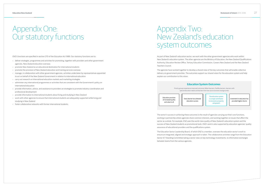# Appendix One: Our statutory functions

ENZ's functions are specified in section 270 of the Education Act 1989. Our statutory functions are to:

- › deliver strategies, programmes and activities for promoting, together with providers and other government agencies, New Zealand education overseas
- › promote New Zealand as an educational destination for international students
- › promote the provision of New Zealand education and training services overseas
- › manage, in collaboration with other government agencies, activities undertaken by representatives appointed to act on behalf of the New Zealand Government in relation to international education
- › carry out research on international education markets and marketing strategies
- › administer any international programmes or activities that are consistent with the Government's policy on international education
- › provide information, advice, and assistance to providers on strategies to promote industry coordination and professional development
- › provide information to international students about living and studying in New Zealand
- › work with other agencies to ensure that international students are adequately supported while living and studying in New Zealand
- › foster collaborative networks with former international students.

# Appendix Two: New Zealand's education system outcomes

As part of New Zealand's education sector, we work with the other government agencies who work within New Zealand's education system. The other agencies are the Ministry of Education, the New Zealand Qualifications Authority, Education Review Office, Tertiary Education Commission, Careers New Zealand and the New Zealand Teachers Council.

The agencies have worked together to develop a shared view of the key outcomes that will enable collective delivery on government priorities. The outcomes support our shared vision for the education system and help explain our contribution to this vision.

The sector's success in achieving these outcomes is the result of agencies carrying out their core functions, working in partnership where agencies share common interests, and working together on issues that affect the sector as a whole. For example, ENZ uses the world-class quality of New Zealand's education system and the success of New Zealand students as promotional tools. ENZ's work is also supported by education agencies' quality assurance of educational providers and the qualifications system.

The Education Sector Leadership Board, of which ENZ is a member, oversees the education sector's work to ensure an integrated, aligned and strategic approach is taken. The collaborative activities range from the Education Sector ICT Standing Committee taking a sector view on key technology investments, to information exchanges between teams from the various agencies.

Education provision of increased quality and value to all

Every learner has achieved education success

The education system is a major contributor to economic prosperity and growth

Investment in education has provided higher returns

## **Education System Outcomes**

Priority groups experience improved outcomes (Māori learners, Pasifika learners, learners with special education needs and learners from low socio-economic backgrounds)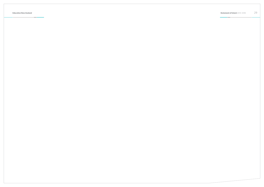## **Education New Zealand Statement of Intent** 2014–2018 29